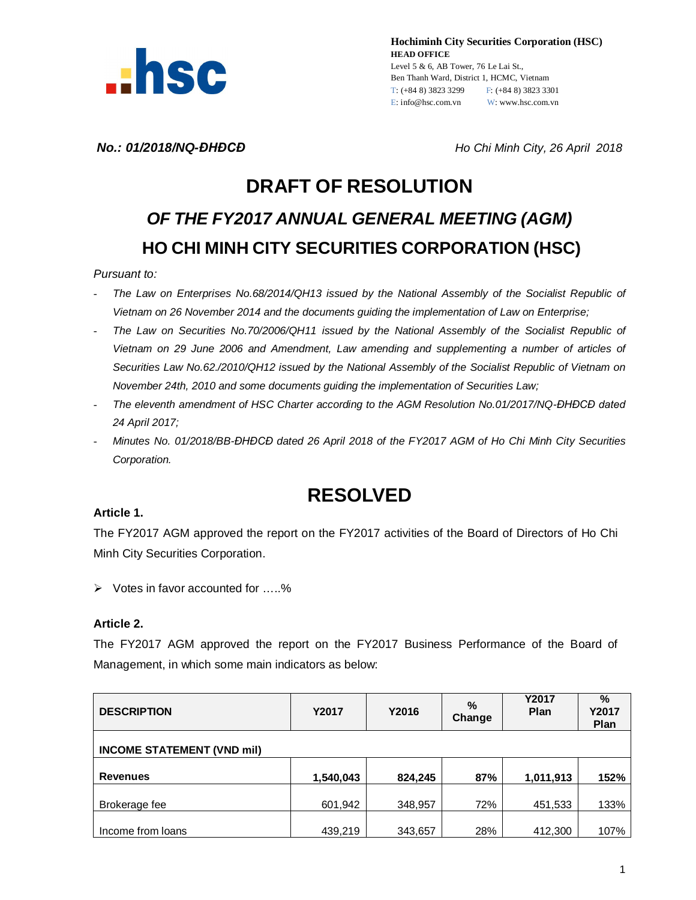

**Hochiminh City Securities Corporation (HSC) HEAD OFFICE** Level 5 & 6, AB Tower, 76 Le Lai St., Ben Thanh Ward, District 1, HCMC, Vietnam T: (+84 8) 3823 3299 F: (+84 8) 3823 3301 E: info@hsc.com.vn W: www.hsc.com.vn

*No.: 01/2018/NQ-ĐHĐCĐ Ho Chi Minh City, 26 April 2018*

# **DRAFT OF RESOLUTION** *OF THE FY2017 ANNUAL GENERAL MEETING (AGM)* **HO CHI MINH CITY SECURITIES CORPORATION (HSC)**

#### *Pursuant to:*

- *The Law on Enterprises No.68/2014/QH13 issued by the National Assembly of the Socialist Republic of Vietnam on 26 November 2014 and the documents guiding the implementation of Law on Enterprise;*
- *The Law on Securities No.70/2006/QH11 issued by the National Assembly of the Socialist Republic of Vietnam on 29 June 2006 and Amendment, Law amending and supplementing a number of articles of Securities Law No.62./2010/QH12 issued by the National Assembly of the Socialist Republic of Vietnam on November 24th, 2010 and some documents guiding the implementation of Securities Law;*
- *The eleventh amendment of HSC Charter according to the AGM Resolution No.01/2017/NQ-ĐHĐCĐ dated 24 April 2017;*
- *Minutes No. 01/2018/BB-ĐHĐCĐ dated 26 April 2018 of the FY2017 AGM of Ho Chi Minh City Securities Corporation.*

## **RESOLVED**

#### **Article 1.**

The FY2017 AGM approved the report on the FY2017 activities of the Board of Directors of Ho Chi Minh City Securities Corporation.

 $\triangleright$  Votes in favor accounted for .....%

#### **Article 2.**

The FY2017 AGM approved the report on the FY2017 Business Performance of the Board of Management, in which some main indicators as below:

| <b>DESCRIPTION</b>                | Y2017     | Y2016   | %<br>Change | <b>Y2017</b><br>Plan | %<br>Y2017<br>Plan |
|-----------------------------------|-----------|---------|-------------|----------------------|--------------------|
| <b>INCOME STATEMENT (VND mil)</b> |           |         |             |                      |                    |
| <b>Revenues</b>                   | 1,540,043 | 824,245 | 87%         | 1,011,913            | 152%               |
| Brokerage fee                     | 601,942   | 348,957 | 72%         | 451,533              | 133%               |
| Income from loans                 | 439,219   | 343,657 | 28%         | 412,300              | 107%               |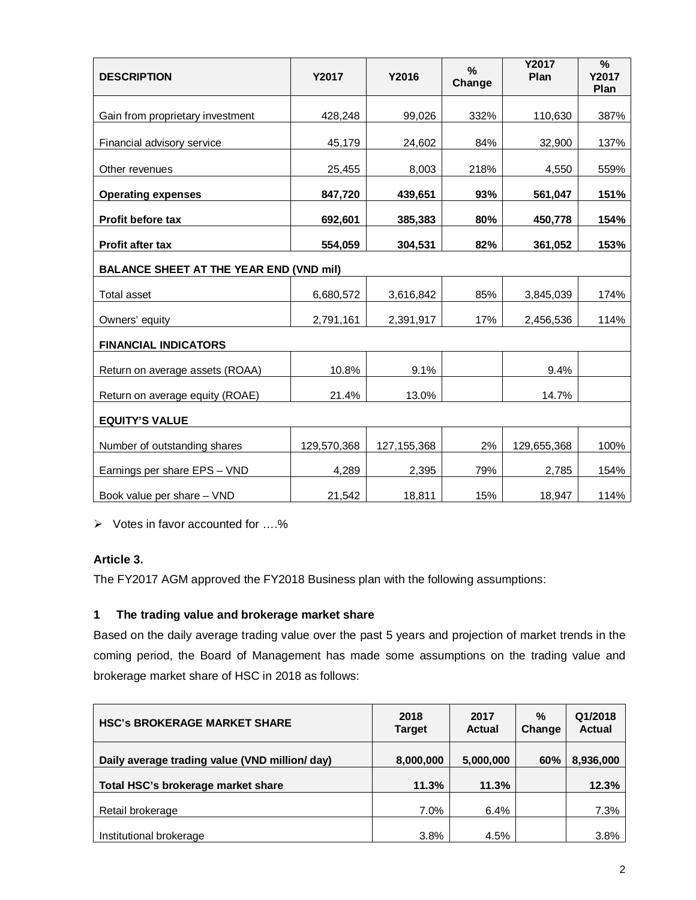| <b>DESCRIPTION</b>                             | Y2017       | Y2016         | Y2017<br>$\frac{0}{0}$<br>Plan<br>Change |             | $\%$<br>Y2017<br>Plan |  |  |
|------------------------------------------------|-------------|---------------|------------------------------------------|-------------|-----------------------|--|--|
| Gain from proprietary investment               | 428,248     | 99,026        | 332%                                     | 110,630     | 387%                  |  |  |
| Financial advisory service                     | 45,179      | 24,602        | 84%                                      | 32,900      | 137%                  |  |  |
| Other revenues                                 | 25,455      | 8,003         | 218%                                     | 4,550       | 559%                  |  |  |
| <b>Operating expenses</b>                      | 847,720     | 439,651       | 93%                                      | 561,047     | 151%                  |  |  |
| Profit before tax                              | 692,601     | 385,383       | 80%                                      | 450,778     | 154%                  |  |  |
| Profit after tax                               | 554,059     | 304,531       | 82%                                      | 361,052     | 153%                  |  |  |
| <b>BALANCE SHEET AT THE YEAR END (VND mil)</b> |             |               |                                          |             |                       |  |  |
| Total asset                                    | 6,680,572   | 3,616,842     | 85%                                      | 3,845,039   | 174%                  |  |  |
| Owners' equity                                 | 2,791,161   | 2,391,917     | 17%                                      | 2,456,536   | 114%                  |  |  |
| <b>FINANCIAL INDICATORS</b>                    |             |               |                                          |             |                       |  |  |
| Return on average assets (ROAA)                | 10.8%       | 9.1%          |                                          | 9.4%        |                       |  |  |
| Return on average equity (ROAE)                | 21.4%       | 13.0%         |                                          | 14.7%       |                       |  |  |
| <b>EQUITY'S VALUE</b>                          |             |               |                                          |             |                       |  |  |
| Number of outstanding shares                   | 129,570,368 | 127, 155, 368 | 2%                                       | 129,655,368 | 100%                  |  |  |
| Earnings per share EPS - VND                   | 4,289       | 2,395         | 79%                                      | 2,785       | 154%                  |  |  |
| Book value per share - VND                     | 21,542      | 18,811        | 15%                                      | 18,947      | 114%                  |  |  |

 $\triangleright$  Votes in favor accounted for ....%

#### **Article 3.**

The FY2017 AGM approved the FY2018 Business plan with the following assumptions:

## **1 The trading value and brokerage market share**

Based on the daily average trading value over the past 5 years and projection of market trends in the coming period, the Board of Management has made some assumptions on the trading value and brokerage market share of HSC in 2018 as follows:

| <b>HSC's BROKERAGE MARKET SHARE</b>            | 2018<br><b>Target</b> | 2017<br><b>Actual</b> | $\%$<br>Change | Q1/2018<br><b>Actual</b> |
|------------------------------------------------|-----------------------|-----------------------|----------------|--------------------------|
| Daily average trading value (VND million/ day) | 8,000,000             | 5,000,000             | 60%            | 8,936,000                |
| Total HSC's brokerage market share             | 11.3%                 | 11.3%                 |                | 12.3%                    |
| Retail brokerage                               | 7.0%                  | 6.4%                  |                | 7.3%                     |
| Institutional brokerage                        | 3.8%                  | 4.5%                  |                | 3.8%                     |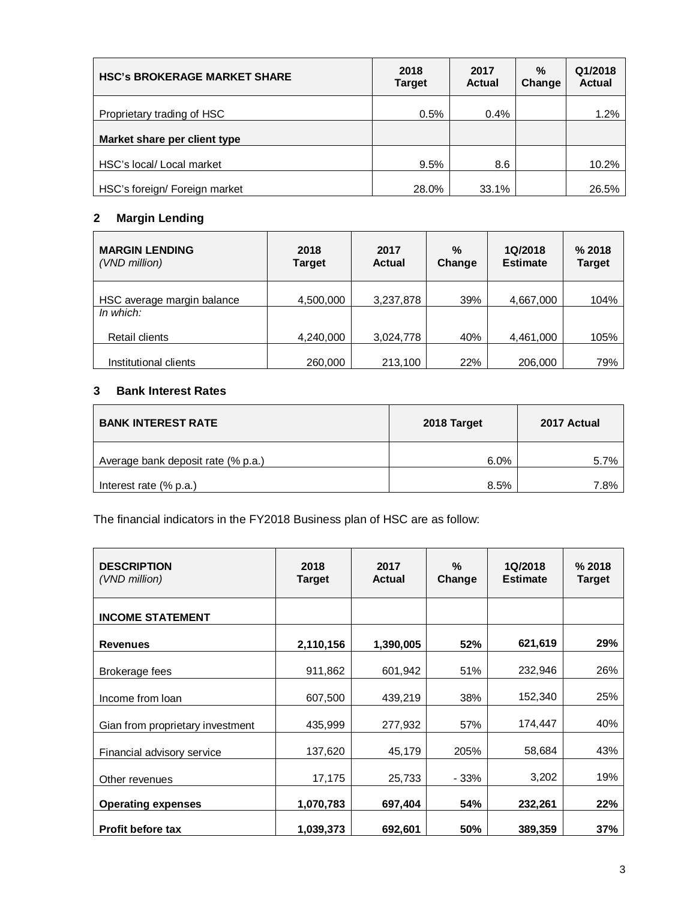| <b>HSC's BROKERAGE MARKET SHARE</b> | 2018<br><b>Target</b> | 2017<br><b>Actual</b> | $\%$<br>Change | Q1/2018<br><b>Actual</b> |
|-------------------------------------|-----------------------|-----------------------|----------------|--------------------------|
| Proprietary trading of HSC          | 0.5%                  | $0.4\%$               |                | 1.2%                     |
| Market share per client type        |                       |                       |                |                          |
| HSC's local/ Local market           | 9.5%                  | 8.6                   |                | 10.2%                    |
| HSC's foreign/ Foreign market       | 28.0%                 | 33.1%                 |                | 26.5%                    |

## **2 Margin Lending**

| <b>MARGIN LENDING</b><br>(VND million)  | 2018<br>Target | 2017<br><b>Actual</b> | $\frac{0}{2}$<br>Change | 1Q/2018<br><b>Estimate</b> | % 2018<br><b>Target</b> |
|-----------------------------------------|----------------|-----------------------|-------------------------|----------------------------|-------------------------|
| HSC average margin balance<br>In which: | 4,500,000      | 3,237,878             | 39%                     | 4,667,000                  | 104%                    |
| Retail clients                          | 4,240,000      | 3,024,778             | 40%                     | 4,461,000                  | 105%                    |
| Institutional clients                   | 260,000        | 213,100               | 22%                     | 206,000                    | 79%                     |

#### **3 Bank Interest Rates**

| <b>BANK INTEREST RATE</b>          | 2018 Target | 2017 Actual |
|------------------------------------|-------------|-------------|
| Average bank deposit rate (% p.a.) | 6.0%        | 5.7%        |
| Interest rate (% p.a.)             | 8.5%        | 7.8%        |

The financial indicators in the FY2018 Business plan of HSC are as follow:

| <b>DESCRIPTION</b><br>(VND million) | 2018<br><b>Target</b> | %<br>2017<br><b>Actual</b><br>Change |       | 1Q/2018<br><b>Estimate</b> | % 2018<br><b>Target</b> |
|-------------------------------------|-----------------------|--------------------------------------|-------|----------------------------|-------------------------|
| <b>INCOME STATEMENT</b>             |                       |                                      |       |                            |                         |
| <b>Revenues</b>                     | 2,110,156             | 1,390,005                            | 52%   | 621,619                    | 29%                     |
| Brokerage fees                      | 911,862               | 601,942                              | 51%   | 232,946                    | 26%                     |
| Income from loan                    | 607,500               | 439,219                              | 38%   | 152,340                    | 25%                     |
| Gian from proprietary investment    | 435,999               | 277,932                              | 57%   | 174,447                    | 40%                     |
| Financial advisory service          | 137,620               | 45,179                               | 205%  | 58,684                     | 43%                     |
| Other revenues                      | 17,175                | 25,733                               | - 33% | 3,202                      | 19%                     |
| <b>Operating expenses</b>           | 1,070,783             | 697,404                              | 54%   | 232,261                    | 22%                     |
| <b>Profit before tax</b>            | 1,039,373             | 692,601                              | 50%   | 389,359                    | 37%                     |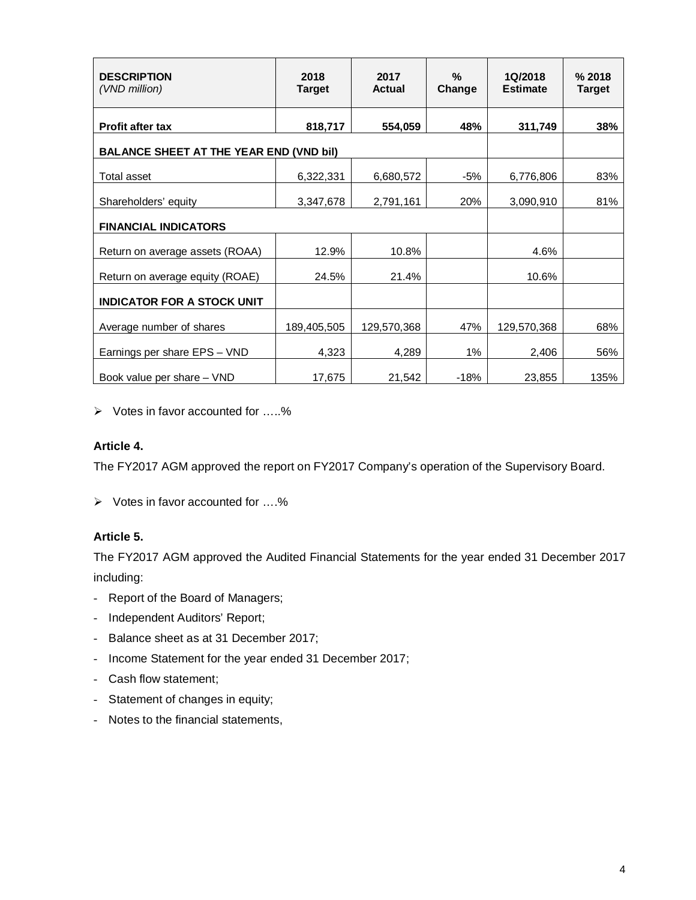| <b>DESCRIPTION</b><br>(VND million)            | 2018<br><b>Target</b> | 2017<br><b>Actual</b> | $\%$<br>Change | 1Q/2018<br><b>Estimate</b> | % 2018<br><b>Target</b> |
|------------------------------------------------|-----------------------|-----------------------|----------------|----------------------------|-------------------------|
| <b>Profit after tax</b>                        | 818,717               | 554,059               | 48%            | 311,749                    | 38%                     |
| <b>BALANCE SHEET AT THE YEAR END (VND bil)</b> |                       |                       |                |                            |                         |
| <b>Total asset</b>                             | 6,322,331             | 6,680,572             | -5%            | 6,776,806                  | 83%                     |
| Shareholders' equity                           | 3,347,678             | 2,791,161             | 20%            | 3,090,910                  | 81%                     |
| <b>FINANCIAL INDICATORS</b>                    |                       |                       |                |                            |                         |
| Return on average assets (ROAA)                | 12.9%                 | 10.8%                 |                | 4.6%                       |                         |
| Return on average equity (ROAE)                | 24.5%                 | 21.4%                 |                | 10.6%                      |                         |
| <b>INDICATOR FOR A STOCK UNIT</b>              |                       |                       |                |                            |                         |
| Average number of shares                       | 189,405,505           | 129,570,368           | 47%            | 129,570,368                | 68%                     |
| Earnings per share EPS - VND                   | 4,323                 | 4,289                 | 1%             | 2,406                      | 56%                     |
| Book value per share - VND                     | 17,675                | 21,542                | $-18%$         | 23,855                     | 135%                    |

Votes in favor accounted for …..%

## **Article 4.**

The FY2017 AGM approved the report on FY2017 Company's operation of the Supervisory Board.

 $\triangleright$  Votes in favor accounted for ....%

#### **Article 5.**

The FY2017 AGM approved the Audited Financial Statements for the year ended 31 December 2017 including:

- Report of the Board of Managers;
- Independent Auditors' Report;
- Balance sheet as at 31 December 2017;
- Income Statement for the year ended 31 December 2017;
- Cash flow statement;
- Statement of changes in equity;
- Notes to the financial statements,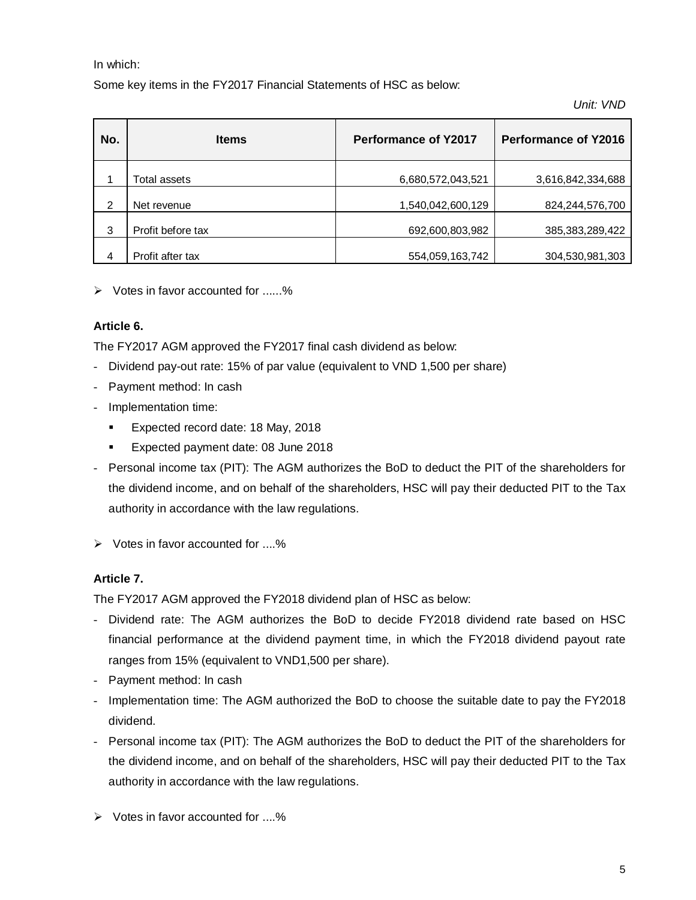In which:

Some key items in the FY2017 Financial Statements of HSC as below:

*Unit: VND*

| No. | <b>Items</b>      | <b>Performance of Y2017</b> | <b>Performance of Y2016</b> |
|-----|-------------------|-----------------------------|-----------------------------|
|     | Total assets      | 6,680,572,043,521           | 3,616,842,334,688           |
| 2   | Net revenue       | 1,540,042,600,129           | 824,244,576,700             |
| 3   | Profit before tax | 692,600,803,982             | 385, 383, 289, 422          |
| 4   | Profit after tax  | 554,059,163,742             | 304,530,981,303             |

 $\triangleright$  Votes in favor accounted for ......%

## **Article 6.**

The FY2017 AGM approved the FY2017 final cash dividend as below:

- Dividend pay-out rate: 15% of par value (equivalent to VND 1,500 per share)
- Payment method: In cash
- Implementation time:
	- **Expected record date: 18 May, 2018**
	- Expected payment date: 08 June 2018
- Personal income tax (PIT): The AGM authorizes the BoD to deduct the PIT of the shareholders for the dividend income, and on behalf of the shareholders, HSC will pay their deducted PIT to the Tax authority in accordance with the law regulations.
- $\triangleright$  Votes in favor accounted for ....%

## **Article 7.**

The FY2017 AGM approved the FY2018 dividend plan of HSC as below:

- Dividend rate: The AGM authorizes the BoD to decide FY2018 dividend rate based on HSC financial performance at the dividend payment time, in which the FY2018 dividend payout rate ranges from 15% (equivalent to VND1,500 per share).
- Payment method: In cash
- Implementation time: The AGM authorized the BoD to choose the suitable date to pay the FY2018 dividend.
- Personal income tax (PIT): The AGM authorizes the BoD to deduct the PIT of the shareholders for the dividend income, and on behalf of the shareholders, HSC will pay their deducted PIT to the Tax authority in accordance with the law regulations.
- $\triangleright$  Votes in favor accounted for ....%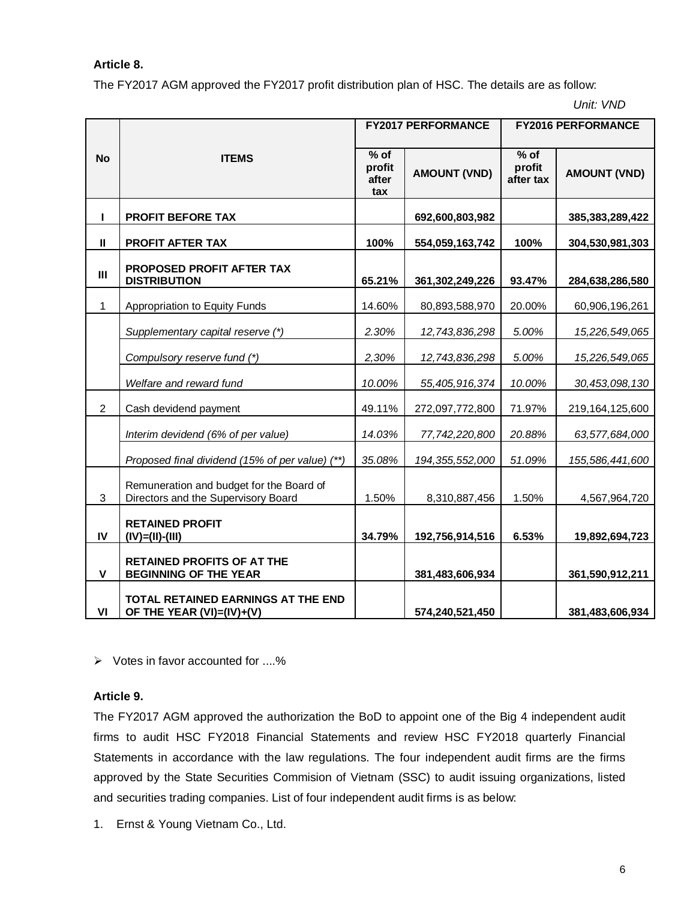#### **Article 8.**

The FY2017 AGM approved the FY2017 profit distribution plan of HSC. The details are as follow:

*Unit: VND*

|                |                                                                                 |                                  | <b>FY2017 PERFORMANCE</b> | <b>FY2016 PERFORMANCE</b>                 |                     |  |
|----------------|---------------------------------------------------------------------------------|----------------------------------|---------------------------|-------------------------------------------|---------------------|--|
| <b>No</b>      | <b>ITEMS</b>                                                                    | $%$ of<br>profit<br>after<br>tax | <b>AMOUNT (VND)</b>       | $\overline{\%}$ of<br>profit<br>after tax | <b>AMOUNT (VND)</b> |  |
| $\mathbf{I}$   | <b>PROFIT BEFORE TAX</b>                                                        |                                  | 692,600,803,982           |                                           | 385,383,289,422     |  |
| $\mathbf{I}$   | <b>PROFIT AFTER TAX</b>                                                         | 100%                             | 554,059,163,742           | 100%                                      | 304,530,981,303     |  |
| $\mathbf{III}$ | <b>PROPOSED PROFIT AFTER TAX</b><br><b>DISTRIBUTION</b>                         | 65.21%                           | 361,302,249,226           | 93.47%                                    | 284,638,286,580     |  |
| 1              | Appropriation to Equity Funds                                                   | 14.60%                           | 80,893,588,970            | 20.00%                                    | 60,906,196,261      |  |
|                | Supplementary capital reserve (*)                                               | 2.30%                            | 12,743,836,298            | 5.00%                                     | 15,226,549,065      |  |
|                | Compulsory reserve fund (*)                                                     | 2,30%                            | 12,743,836,298            | 5.00%                                     | 15,226,549,065      |  |
|                | Welfare and reward fund                                                         | 10.00%                           | 55,405,916,374            | 10.00%                                    | 30,453,098,130      |  |
| $\overline{2}$ | Cash devidend payment                                                           | 49.11%                           | 272,097,772,800           | 71.97%                                    | 219,164,125,600     |  |
|                | Interim devidend (6% of per value)                                              | 14.03%                           | 77,742,220,800            | 20.88%                                    | 63,577,684,000      |  |
|                | Proposed final dividend (15% of per value) (**)                                 | 35.08%                           | 194, 355, 552, 000        | 51.09%                                    | 155,586,441,600     |  |
| 3              | Remuneration and budget for the Board of<br>Directors and the Supervisory Board | 1.50%                            | 8,310,887,456             | 1.50%                                     | 4,567,964,720       |  |
| IV             | <b>RETAINED PROFIT</b><br>$(IV)=(II)-(III)$                                     | 34.79%                           | 192,756,914,516           | 6.53%                                     | 19,892,694,723      |  |
| $\mathbf v$    | <b>RETAINED PROFITS OF AT THE</b><br><b>BEGINNING OF THE YEAR</b>               |                                  | 381,483,606,934           |                                           | 361,590,912,211     |  |
| VI             | TOTAL RETAINED EARNINGS AT THE END<br>OF THE YEAR (VI)=(IV)+(V)                 |                                  | 574,240,521,450           |                                           | 381,483,606,934     |  |

 $\triangleright$  Votes in favor accounted for ....%

#### **Article 9.**

The FY2017 AGM approved the authorization the BoD to appoint one of the Big 4 independent audit firms to audit HSC FY2018 Financial Statements and review HSC FY2018 quarterly Financial Statements in accordance with the law regulations. The four independent audit firms are the firms approved by the State Securities Commision of Vietnam (SSC) to audit issuing organizations, listed and securities trading companies. List of four independent audit firms is as below:

1. Ernst & Young Vietnam Co., Ltd.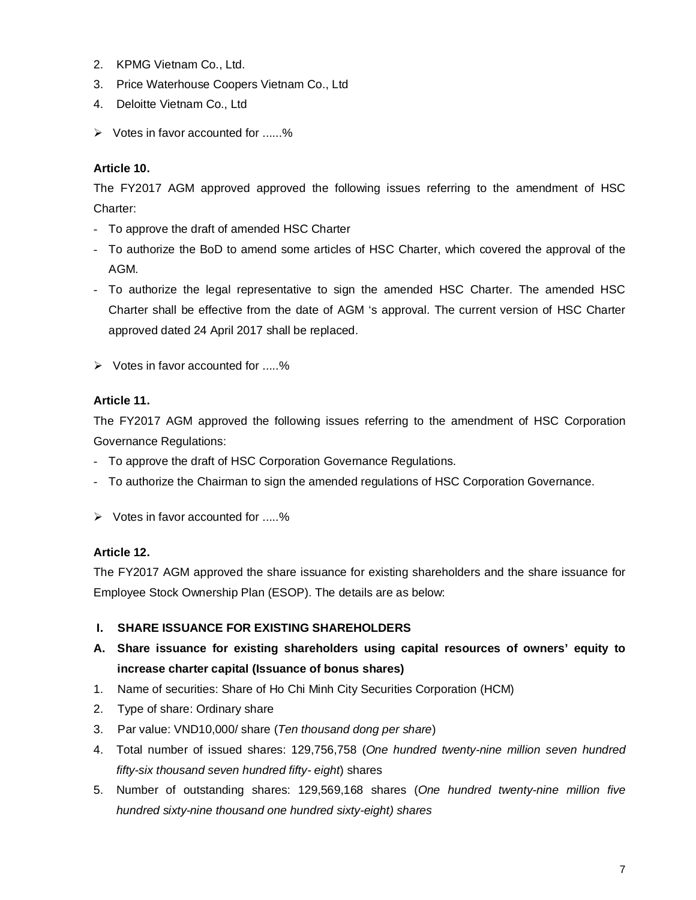- 2. KPMG Vietnam Co., Ltd.
- 3. Price Waterhouse Coopers Vietnam Co., Ltd
- 4. Deloitte Vietnam Co., Ltd
- $\triangleright$  Votes in favor accounted for ......%

### **Article 10.**

The FY2017 AGM approved approved the following issues referring to the amendment of HSC Charter:

- To approve the draft of amended HSC Charter
- To authorize the BoD to amend some articles of HSC Charter, which covered the approval of the AGM.
- To authorize the legal representative to sign the amended HSC Charter. The amended HSC Charter shall be effective from the date of AGM 's approval. The current version of HSC Charter approved dated 24 April 2017 shall be replaced.
- $\triangleright$  Votes in favor accounted for .....%

#### **Article 11.**

The FY2017 AGM approved the following issues referring to the amendment of HSC Corporation Governance Regulations:

- To approve the draft of HSC Corporation Governance Regulations.
- To authorize the Chairman to sign the amended regulations of HSC Corporation Governance.
- $\triangleright$  Votes in favor accounted for .....%

#### **Article 12.**

The FY2017 AGM approved the share issuance for existing shareholders and the share issuance for Employee Stock Ownership Plan (ESOP). The details are as below:

#### **I. SHARE ISSUANCE FOR EXISTING SHAREHOLDERS**

- **A. Share issuance for existing shareholders using capital resources of owners' equity to increase charter capital (Issuance of bonus shares)**
- 1. Name of securities: Share of Ho Chi Minh City Securities Corporation (HCM)
- 2. Type of share: Ordinary share
- 3. Par value: VND10,000/ share (*Ten thousand dong per share*)
- 4. Total number of issued shares: 129,756,758 (*One hundred twenty-nine million seven hundred fifty-six thousand seven hundred fifty- eight*) shares
- 5. Number of outstanding shares: 129,569,168 shares (*One hundred twenty-nine million five hundred sixty-nine thousand one hundred sixty-eight) shares*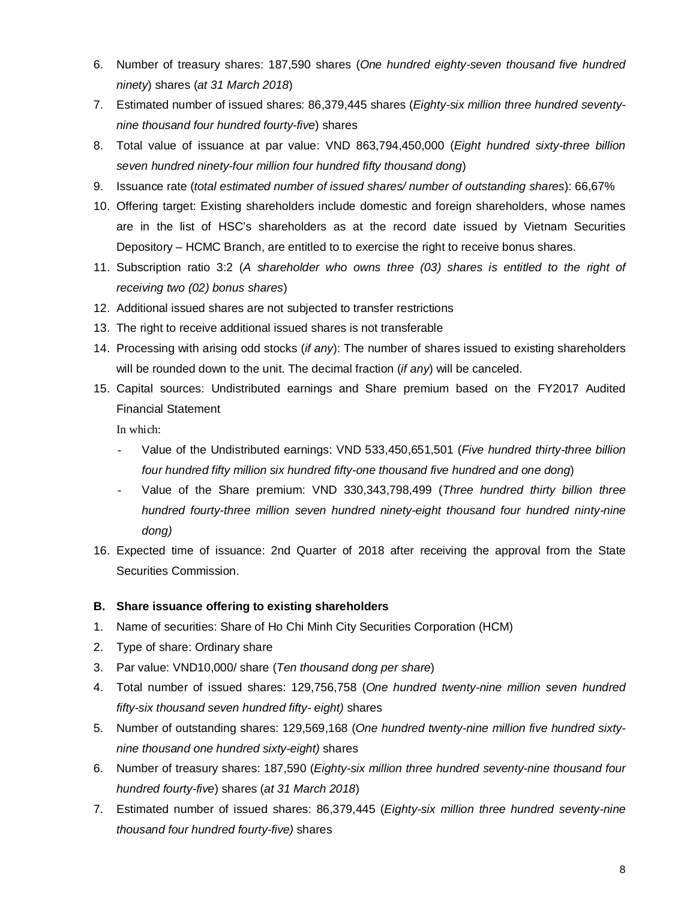- 6. Number of treasury shares: 187,590 shares (*One hundred eighty-seven thousand five hundred ninety*) shares (*at 31 March 2018*)
- 7. Estimated number of issued shares: 86,379,445 shares (*Eighty-six million three hundred seventynine thousand four hundred fourty-five*) shares
- 8. Total value of issuance at par value: VND 863,794,450,000 (*Eight hundred sixty-three billion seven hundred ninety-four million four hundred fifty thousand dong*)
- 9. Issuance rate (*total estimated number of issued shares/ number of outstanding shares*): 66,67%
- 10. Offering target: Existing shareholders include domestic and foreign shareholders, whose names are in the list of HSC's shareholders as at the record date issued by Vietnam Securities Depository – HCMC Branch, are entitled to to exercise the right to receive bonus shares.
- 11. Subscription ratio 3:2 (*A shareholder who owns three (03) shares is entitled to the right of receiving two (02) bonus shares*)
- 12. Additional issued shares are not subjected to transfer restrictions
- 13. The right to receive additional issued shares is not transferable
- 14. Processing with arising odd stocks (*if any*): The number of shares issued to existing shareholders will be rounded down to the unit. The decimal fraction (*if any*) will be canceled.
- 15. Capital sources: Undistributed earnings and Share premium based on the FY2017 Audited Financial Statement

In which:

- Value of the Undistributed earnings: VND 533,450,651,501 (*Five hundred thirty-three billion four hundred fifty million six hundred fifty-one thousand five hundred and one dong*)
- Value of the Share premium: VND 330,343,798,499 (*Three hundred thirty billion three hundred fourty-three million seven hundred ninety-eight thousand four hundred ninty-nine dong)*
- 16. Expected time of issuance: 2nd Quarter of 2018 after receiving the approval from the State Securities Commission.

#### **B. Share issuance offering to existing shareholders**

- 1. Name of securities: Share of Ho Chi Minh City Securities Corporation (HCM)
- 2. Type of share: Ordinary share
- 3. Par value: VND10,000/ share (*Ten thousand dong per share*)
- 4. Total number of issued shares: 129,756,758 (*One hundred twenty-nine million seven hundred fifty-six thousand seven hundred fifty- eight)* shares
- 5. Number of outstanding shares: 129,569,168 (*One hundred twenty-nine million five hundred sixtynine thousand one hundred sixty-eight)* shares
- 6. Number of treasury shares: 187,590 (*Eighty-six million three hundred seventy-nine thousand four hundred fourty-five*) shares (*at 31 March 2018*)
- 7. Estimated number of issued shares: 86,379,445 (*Eighty-six million three hundred seventy-nine thousand four hundred fourty-five)* shares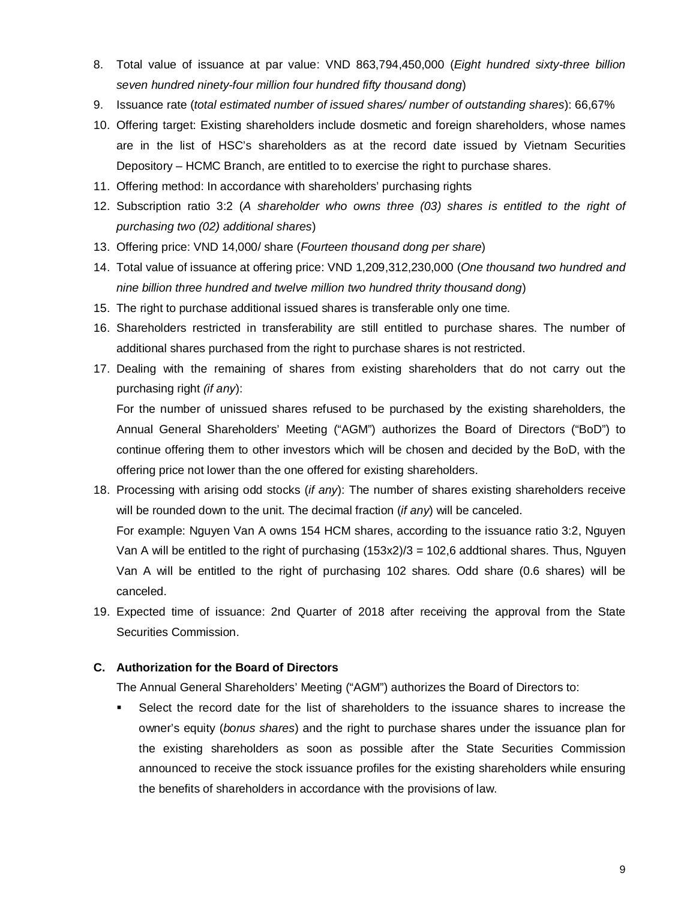- 8. Total value of issuance at par value: VND 863,794,450,000 (*Eight hundred sixty-three billion seven hundred ninety-four million four hundred fifty thousand dong*)
- 9. Issuance rate (*total estimated number of issued shares/ number of outstanding shares*): 66,67%
- 10. Offering target: Existing shareholders include dosmetic and foreign shareholders, whose names are in the list of HSC's shareholders as at the record date issued by Vietnam Securities Depository – HCMC Branch, are entitled to to exercise the right to purchase shares.
- 11. Offering method: In accordance with shareholders' purchasing rights
- 12. Subscription ratio 3:2 (*A shareholder who owns three (03) shares is entitled to the right of purchasing two (02) additional shares*)
- 13. Offering price: VND 14,000/ share (*Fourteen thousand dong per share*)
- 14. Total value of issuance at offering price: VND 1,209,312,230,000 (*One thousand two hundred and nine billion three hundred and twelve million two hundred thrity thousand dong*)
- 15. The right to purchase additional issued shares is transferable only one time.
- 16. Shareholders restricted in transferability are still entitled to purchase shares. The number of additional shares purchased from the right to purchase shares is not restricted.
- 17. Dealing with the remaining of shares from existing shareholders that do not carry out the purchasing right *(if any*):

For the number of unissued shares refused to be purchased by the existing shareholders, the Annual General Shareholders' Meeting ("AGM") authorizes the Board of Directors ("BoD") to continue offering them to other investors which will be chosen and decided by the BoD, with the offering price not lower than the one offered for existing shareholders.

18. Processing with arising odd stocks (*if any*): The number of shares existing shareholders receive will be rounded down to the unit. The decimal fraction (*if any*) will be canceled.

For example: Nguyen Van A owns 154 HCM shares, according to the issuance ratio 3:2, Nguyen Van A will be entitled to the right of purchasing  $(153x2)/3 = 102,6$  addtional shares. Thus, Nguyen Van A will be entitled to the right of purchasing 102 shares. Odd share (0.6 shares) will be canceled.

19. Expected time of issuance: 2nd Quarter of 2018 after receiving the approval from the State Securities Commission.

#### **C. Authorization for the Board of Directors**

The Annual General Shareholders' Meeting ("AGM") authorizes the Board of Directors to:

 Select the record date for the list of shareholders to the issuance shares to increase the owner's equity (*bonus shares*) and the right to purchase shares under the issuance plan for the existing shareholders as soon as possible after the State Securities Commission announced to receive the stock issuance profiles for the existing shareholders while ensuring the benefits of shareholders in accordance with the provisions of law.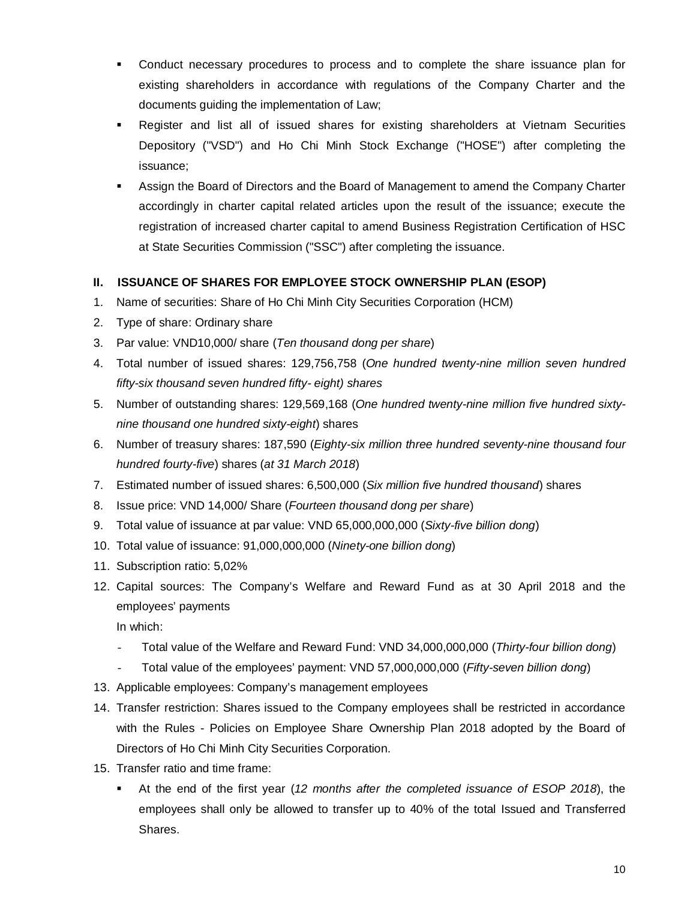- Conduct necessary procedures to process and to complete the share issuance plan for existing shareholders in accordance with regulations of the Company Charter and the documents guiding the implementation of Law;
- Register and list all of issued shares for existing shareholders at Vietnam Securities Depository ("VSD") and Ho Chi Minh Stock Exchange ("HOSE") after completing the issuance;
- Assign the Board of Directors and the Board of Management to amend the Company Charter accordingly in charter capital related articles upon the result of the issuance; execute the registration of increased charter capital to amend Business Registration Certification of HSC at State Securities Commission ("SSC") after completing the issuance.

#### **II. ISSUANCE OF SHARES FOR EMPLOYEE STOCK OWNERSHIP PLAN (ESOP)**

- 1. Name of securities: Share of Ho Chi Minh City Securities Corporation (HCM)
- 2. Type of share: Ordinary share
- 3. Par value: VND10,000/ share (*Ten thousand dong per share*)
- 4. Total number of issued shares: 129,756,758 (*One hundred twenty-nine million seven hundred fifty-six thousand seven hundred fifty- eight) shares*
- 5. Number of outstanding shares: 129,569,168 (*One hundred twenty-nine million five hundred sixtynine thousand one hundred sixty-eight*) shares
- 6. Number of treasury shares: 187,590 (*Eighty-six million three hundred seventy-nine thousand four hundred fourty-five*) shares (*at 31 March 2018*)
- 7. Estimated number of issued shares: 6,500,000 (*Six million five hundred thousand*) shares
- 8. Issue price: VND 14,000/ Share (*Fourteen thousand dong per share*)
- 9. Total value of issuance at par value: VND 65,000,000,000 (*Sixty-five billion dong*)
- 10. Total value of issuance: 91,000,000,000 (*Ninety-one billion dong*)
- 11. Subscription ratio: 5,02%
- 12. Capital sources: The Company's Welfare and Reward Fund as at 30 April 2018 and the employees' payments

In which:

- Total value of the Welfare and Reward Fund: VND 34,000,000,000 (*Thirty-four billion dong*)
- Total value of the employees' payment: VND 57,000,000,000 (*Fifty-seven billion dong*)
- 13. Applicable employees: Company's management employees
- 14. Transfer restriction: Shares issued to the Company employees shall be restricted in accordance with the Rules - Policies on Employee Share Ownership Plan 2018 adopted by the Board of Directors of Ho Chi Minh City Securities Corporation.
- 15. Transfer ratio and time frame:
	- At the end of the first year (*12 months after the completed issuance of ESOP 2018*), the employees shall only be allowed to transfer up to 40% of the total Issued and Transferred Shares.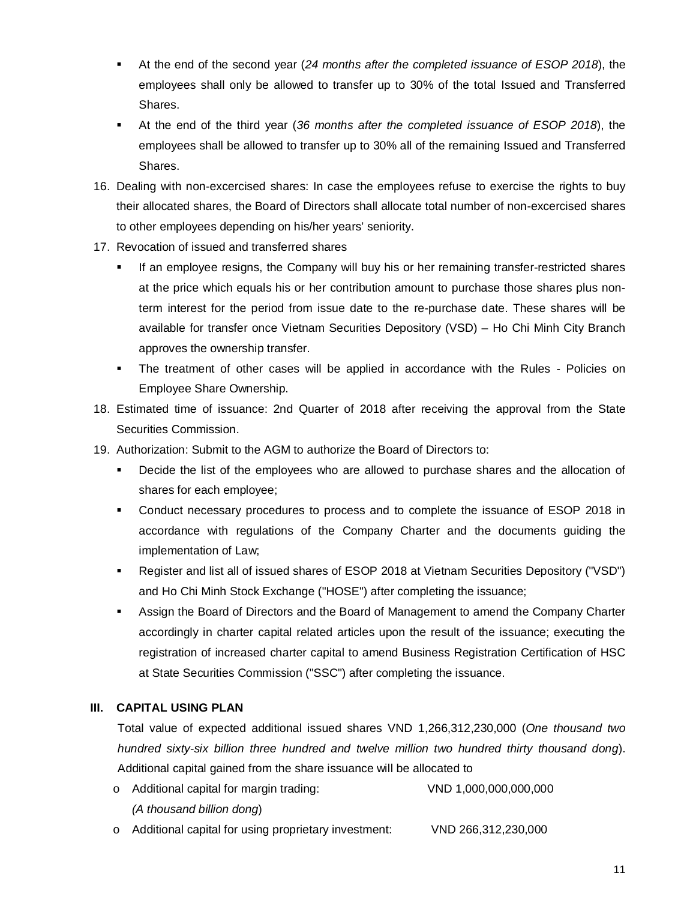- At the end of the second year (*24 months after the completed issuance of ESOP 2018*), the employees shall only be allowed to transfer up to 30% of the total Issued and Transferred Shares.
- At the end of the third year (*36 months after the completed issuance of ESOP 2018*), the employees shall be allowed to transfer up to 30% all of the remaining Issued and Transferred **Shares**
- 16. Dealing with non-excercised shares: In case the employees refuse to exercise the rights to buy their allocated shares, the Board of Directors shall allocate total number of non-excercised shares to other employees depending on his/her years' seniority.
- 17. Revocation of issued and transferred shares
	- If an employee resigns, the Company will buy his or her remaining transfer-restricted shares at the price which equals his or her contribution amount to purchase those shares plus nonterm interest for the period from issue date to the re-purchase date. These shares will be available for transfer once Vietnam Securities Depository (VSD) – Ho Chi Minh City Branch approves the ownership transfer.
	- The treatment of other cases will be applied in accordance with the Rules Policies on Employee Share Ownership.
- 18. Estimated time of issuance: 2nd Quarter of 2018 after receiving the approval from the State Securities Commission.
- 19. Authorization: Submit to the AGM to authorize the Board of Directors to:
	- Decide the list of the employees who are allowed to purchase shares and the allocation of shares for each employee;
	- Conduct necessary procedures to process and to complete the issuance of ESOP 2018 in accordance with regulations of the Company Charter and the documents guiding the implementation of Law;
	- Register and list all of issued shares of ESOP 2018 at Vietnam Securities Depository ("VSD") and Ho Chi Minh Stock Exchange ("HOSE") after completing the issuance;
	- Assign the Board of Directors and the Board of Management to amend the Company Charter accordingly in charter capital related articles upon the result of the issuance; executing the registration of increased charter capital to amend Business Registration Certification of HSC at State Securities Commission ("SSC") after completing the issuance.

#### **III. CAPITAL USING PLAN**

Total value of expected additional issued shares VND 1,266,312,230,000 (*One thousand two hundred sixty-six billion three hundred and twelve million two hundred thirty thousand dong*). Additional capital gained from the share issuance will be allocated to

- o Additional capital for margin trading: VND 1,000,000,000,000 *(A thousand billion dong*)
- o Additional capital for using proprietary investment: VND 266,312,230,000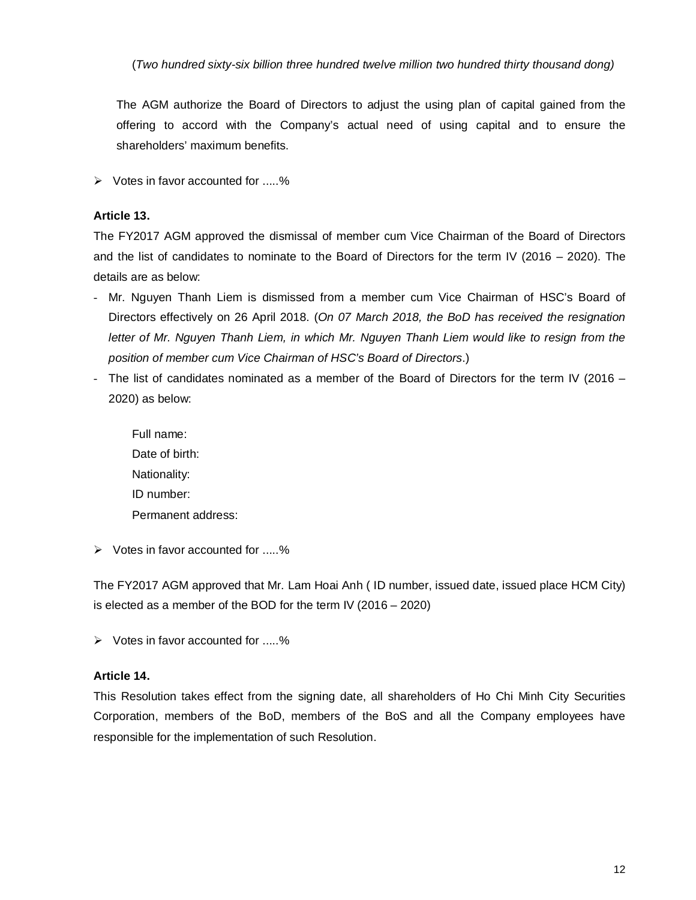(*Two hundred sixty-six billion three hundred twelve million two hundred thirty thousand dong)*

The AGM authorize the Board of Directors to adjust the using plan of capital gained from the offering to accord with the Company's actual need of using capital and to ensure the shareholders' maximum benefits.

 $\triangleright$  Votes in favor accounted for .....%

#### **Article 13.**

The FY2017 AGM approved the dismissal of member cum Vice Chairman of the Board of Directors and the list of candidates to nominate to the Board of Directors for the term IV (2016 – 2020). The details are as below:

- Mr. Nguyen Thanh Liem is dismissed from a member cum Vice Chairman of HSC's Board of Directors effectively on 26 April 2018. (*On 07 March 2018, the BoD has received the resignation letter of Mr. Nguyen Thanh Liem, in which Mr. Nguyen Thanh Liem would like to resign from the position of member cum Vice Chairman of HSC's Board of Directors*.)
- The list of candidates nominated as a member of the Board of Directors for the term IV (2016 2020) as below:

Full name: Date of birth: Nationality: ID number: Permanent address:

 $\triangleright$  Votes in favor accounted for .....%

The FY2017 AGM approved that Mr. Lam Hoai Anh ( ID number, issued date, issued place HCM City) is elected as a member of the BOD for the term IV (2016 – 2020)

 $\triangleright$  Votes in favor accounted for .....%

#### **Article 14.**

This Resolution takes effect from the signing date, all shareholders of Ho Chi Minh City Securities Corporation, members of the BoD, members of the BoS and all the Company employees have responsible for the implementation of such Resolution.